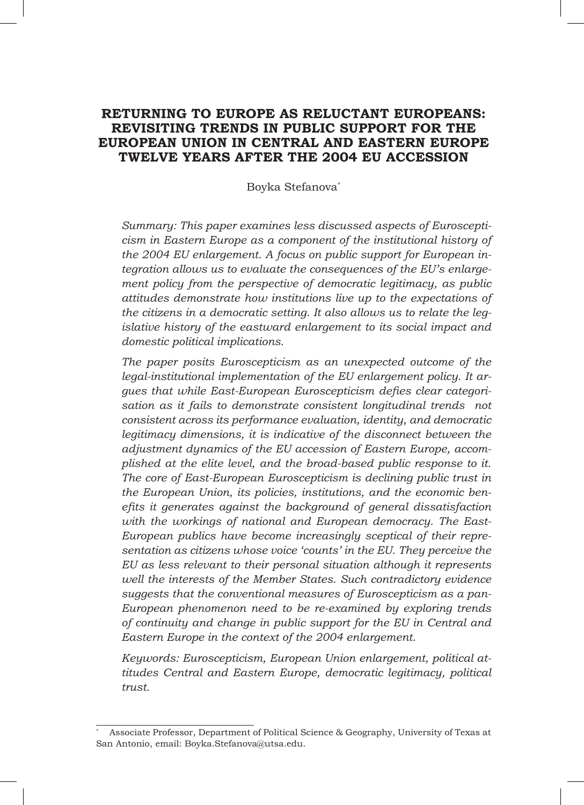# **RETURNING TO EUROPE AS RELUCTANT EUROPEANS: REVISITING TRENDS IN PUBLIC SUPPORT FOR THE EUROPEAN UNION IN CENTRAL AND EASTERN EUROPE TWELVE YEARS AFTER THE 2004 EU ACCESSION**

### Boyka Stefanova\*

*Summary: This paper examines less discussed aspects of Euroscepticism in Eastern Europe as a component of the institutional history of the 2004 EU enlargement. A focus on public support for European integration allows us to evaluate the consequences of the EU's enlargement policy from the perspective of democratic legitimacy, as public attitudes demonstrate how institutions live up to the expectations of the citizens in a democratic setting. It also allows us to relate the legislative history of the eastward enlargement to its social impact and domestic political implications.* 

*The paper posits Euroscepticism as an unexpected outcome of the legal-institutional implementation of the EU enlargement policy. It argues that while East-European Euroscepticism defies clear categorisation as it fails to demonstrate consistent longitudinal trends not consistent across its performance evaluation, identity, and democratic legitimacy dimensions, it is indicative of the disconnect between the adjustment dynamics of the EU accession of Eastern Europe, accomplished at the elite level, and the broad-based public response to it. The core of East-European Euroscepticism is declining public trust in the European Union, its policies, institutions, and the economic benefits it generates against the background of general dissatisfaction with the workings of national and European democracy. The East-European publics have become increasingly sceptical of their representation as citizens whose voice 'counts' in the EU. They perceive the EU as less relevant to their personal situation although it represents well the interests of the Member States. Such contradictory evidence suggests that the conventional measures of Euroscepticism as a pan-European phenomenon need to be re-examined by exploring trends of continuity and change in public support for the EU in Central and Eastern Europe in the context of the 2004 enlargement.* 

*Keywords: Euroscepticism, European Union enlargement, political attitudes Central and Eastern Europe, democratic legitimacy, political trust.*

<sup>\*</sup> Associate Professor, Department of Political Science & Geography, University of Texas at San Antonio, email: Boyka.Stefanova@utsa.edu.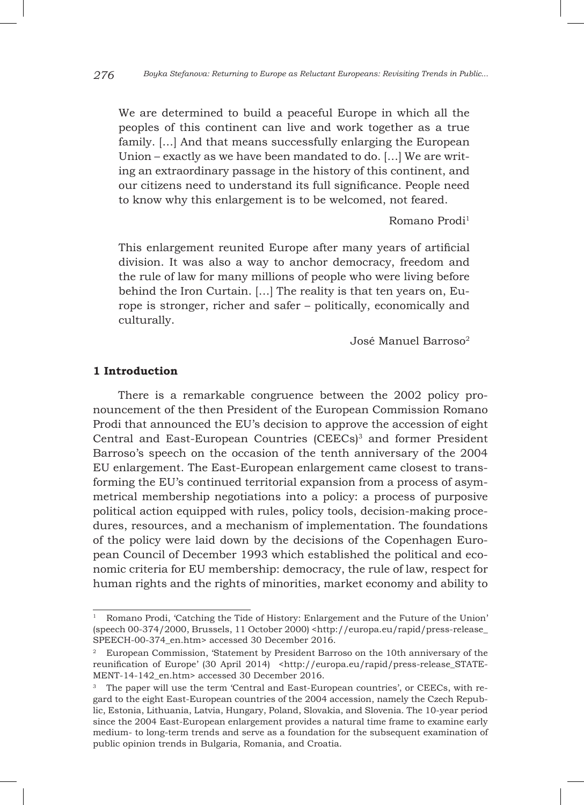We are determined to build a peaceful Europe in which all the peoples of this continent can live and work together as a true family. […] And that means successfully enlarging the European Union – exactly as we have been mandated to do. […] We are writing an extraordinary passage in the history of this continent, and our citizens need to understand its full significance. People need to know why this enlargement is to be welcomed, not feared.

Romano Prodi<sup>1</sup>

This enlargement reunited Europe after many years of artificial division. It was also a way to anchor democracy, freedom and the rule of law for many millions of people who were living before behind the Iron Curtain. […] The reality is that ten years on, Europe is stronger, richer and safer – politically, economically and culturally.

José Manuel Barroso2

### **1 Introduction**

There is a remarkable congruence between the 2002 policy pronouncement of the then President of the European Commission Romano Prodi that announced the EU's decision to approve the accession of eight Central and East-European Countries (CEECs)<sup>3</sup> and former President Barroso's speech on the occasion of the tenth anniversary of the 2004 EU enlargement. The East-European enlargement came closest to transforming the EU's continued territorial expansion from a process of asymmetrical membership negotiations into a policy: a process of purposive political action equipped with rules, policy tools, decision-making procedures, resources, and a mechanism of implementation. The foundations of the policy were laid down by the decisions of the Copenhagen European Council of December 1993 which established the political and economic criteria for EU membership: democracy, the rule of law, respect for human rights and the rights of minorities, market economy and ability to

<sup>1</sup> Romano Prodi, 'Catching the Tide of History: Enlargement and the Future of the Union' (speech 00-374/2000, Brussels, 11 October 2000) <http://europa.eu/rapid/press-release\_ SPEECH-00-374\_en.htm> accessed 30 December 2016.

<sup>2</sup> European Commission, 'Statement by President Barroso on the 10th anniversary of the reunification of Europe' (30 April 2014) <http://europa.eu/rapid/press-release\_STATE-MENT-14-142\_en.htm> accessed 30 December 2016.

<sup>&</sup>lt;sup>3</sup> The paper will use the term 'Central and East-European countries', or CEECs, with regard to the eight East-European countries of the 2004 accession, namely the Czech Republic, Estonia, Lithuania, Latvia, Hungary, Poland, Slovakia, and Slovenia. The 10-year period since the 2004 East-European enlargement provides a natural time frame to examine early medium- to long-term trends and serve as a foundation for the subsequent examination of public opinion trends in Bulgaria, Romania, and Croatia.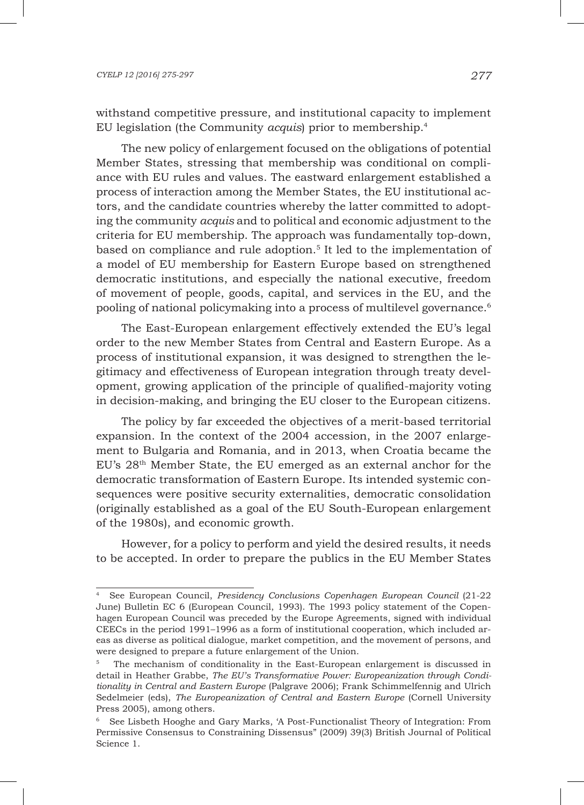withstand competitive pressure, and institutional capacity to implement EU legislation (the Community *acquis*) prior to membership.4

The new policy of enlargement focused on the obligations of potential Member States, stressing that membership was conditional on compliance with EU rules and values. The eastward enlargement established a process of interaction among the Member States, the EU institutional actors, and the candidate countries whereby the latter committed to adopting the community *acquis* and to political and economic adjustment to the criteria for EU membership. The approach was fundamentally top-down, based on compliance and rule adoption.<sup>5</sup> It led to the implementation of a model of EU membership for Eastern Europe based on strengthened democratic institutions, and especially the national executive, freedom of movement of people, goods, capital, and services in the EU, and the pooling of national policymaking into a process of multilevel governance.<sup>6</sup>

The East-European enlargement effectively extended the EU's legal order to the new Member States from Central and Eastern Europe. As a process of institutional expansion, it was designed to strengthen the legitimacy and effectiveness of European integration through treaty development, growing application of the principle of qualified-majority voting in decision-making, and bringing the EU closer to the European citizens.

The policy by far exceeded the objectives of a merit-based territorial expansion. In the context of the 2004 accession, in the 2007 enlargement to Bulgaria and Romania, and in 2013, when Croatia became the EU's 28th Member State, the EU emerged as an external anchor for the democratic transformation of Eastern Europe. Its intended systemic consequences were positive security externalities, democratic consolidation (originally established as a goal of the EU South-European enlargement of the 1980s), and economic growth.

However, for a policy to perform and yield the desired results, it needs to be accepted. In order to prepare the publics in the EU Member States

<sup>4</sup> See European Council, *Presidency Conclusions Copenhagen European Council* (21-22 June) Bulletin EC 6 (European Council, 1993). The 1993 policy statement of the Copenhagen European Council was preceded by the Europe Agreements, signed with individual CEECs in the period 1991–1996 as a form of institutional cooperation, which included areas as diverse as political dialogue, market competition, and the movement of persons, and were designed to prepare a future enlargement of the Union.

<sup>5</sup> The mechanism of conditionality in the East-European enlargement is discussed in detail in Heather Grabbe, *The EU's Transformative Power: Europeanization through Conditionality in Central and Eastern Europe* (Palgrave 2006); Frank Schimmelfennig and Ulrich Sedelmeier (eds), *The Europeanization of Central and Eastern Europe* (Cornell University Press 2005), among others.

<sup>6</sup> See Lisbeth Hooghe and Gary Marks, 'A Post-Functionalist Theory of Integration: From Permissive Consensus to Constraining Dissensus" (2009) 39(3) British Journal of Political Science 1.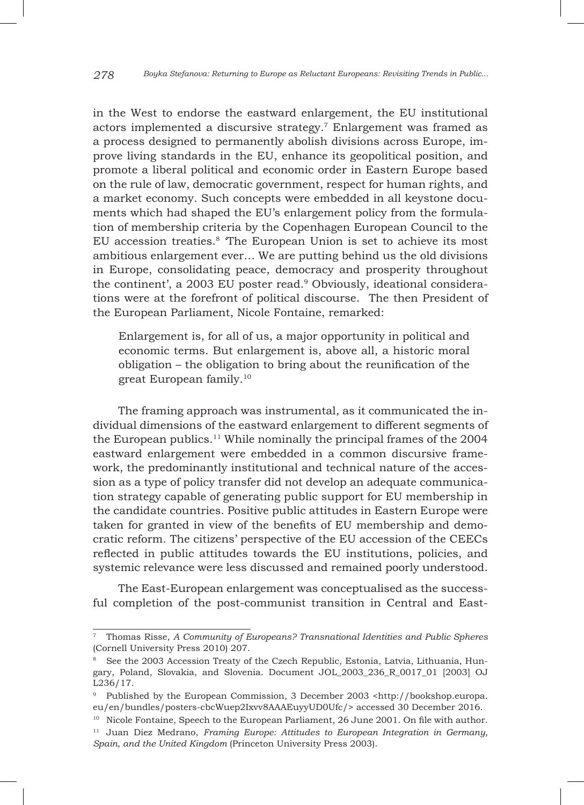in the West to endorse the eastward enlargement, the EU institutional actors implemented a discursive strategy.7 Enlargement was framed as a process designed to permanently abolish divisions across Europe, improve living standards in the EU, enhance its geopolitical position, and promote a liberal political and economic order in Eastern Europe based on the rule of law, democratic government, respect for human rights, and a market economy. Such concepts were embedded in all keystone documents which had shaped the EU's enlargement policy from the formulation of membership criteria by the Copenhagen European Council to the EU accession treaties.8 'The European Union is set to achieve its most ambitious enlargement ever… We are putting behind us the old divisions in Europe, consolidating peace, democracy and prosperity throughout the continent', a 2003 EU poster read.<sup>9</sup> Obviously, ideational considerations were at the forefront of political discourse. The then President of the European Parliament, Nicole Fontaine, remarked:

Enlargement is, for all of us, a major opportunity in political and economic terms. But enlargement is, above all, a historic moral obligation – the obligation to bring about the reunification of the great European family.10

The framing approach was instrumental, as it communicated the individual dimensions of the eastward enlargement to different segments of the European publics.<sup>11</sup> While nominally the principal frames of the  $2004$ eastward enlargement were embedded in a common discursive framework, the predominantly institutional and technical nature of the accession as a type of policy transfer did not develop an adequate communication strategy capable of generating public support for EU membership in the candidate countries. Positive public attitudes in Eastern Europe were taken for granted in view of the benefits of EU membership and democratic reform. The citizens' perspective of the EU accession of the CEECs reflected in public attitudes towards the EU institutions, policies, and systemic relevance were less discussed and remained poorly understood.

The East-European enlargement was conceptualised as the successful completion of the post-communist transition in Central and East-

<sup>7</sup> Thomas Risse, *A Community of Europeans? Transnational Identities and Public Spheres* (Cornell University Press 2010) 207.

<sup>8</sup> See the 2003 Accession Treaty of the Czech Republic, Estonia, Latvia, Lithuania, Hungary, Poland, Slovakia, and Slovenia. Document JOL\_2003\_236\_R\_0017\_01 [2003] OJ L236/17.

<sup>9</sup> Published by the European Commission, 3 December 2003 <http://bookshop.europa. eu/en/bundles/posters-cbcWuep2Ixvv8AAAEuyyUD0Ufc/> accessed 30 December 2016.

<sup>&</sup>lt;sup>10</sup> Nicole Fontaine, Speech to the European Parliament, 26 June 2001. On file with author. <sup>11</sup> Juan Diez Medrano, *Framing Europe: Attitudes to European Integration in Germany, Spain, and the United Kingdom* (Princeton University Press 2003).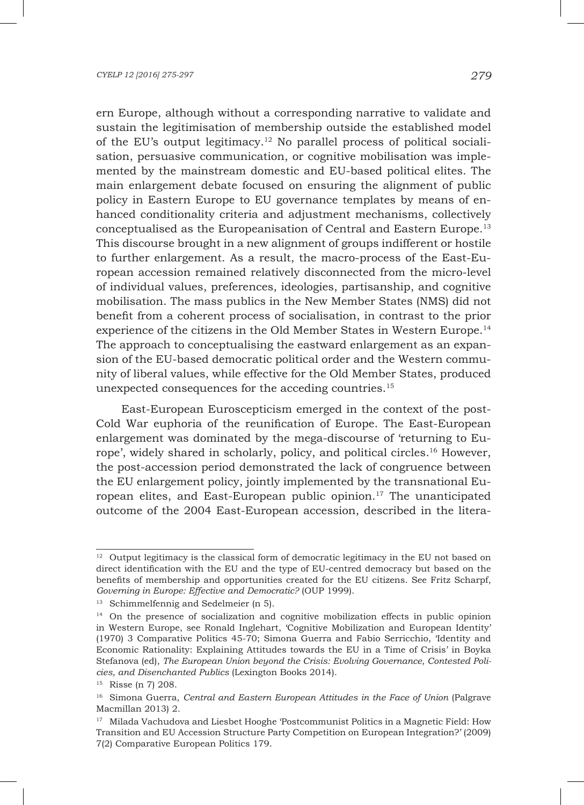ern Europe, although without a corresponding narrative to validate and sustain the legitimisation of membership outside the established model of the EU's output legitimacy.<sup>12</sup> No parallel process of political socialisation, persuasive communication, or cognitive mobilisation was implemented by the mainstream domestic and EU-based political elites. The main enlargement debate focused on ensuring the alignment of public policy in Eastern Europe to EU governance templates by means of enhanced conditionality criteria and adjustment mechanisms, collectively conceptualised as the Europeanisation of Central and Eastern Europe.13 This discourse brought in a new alignment of groups indifferent or hostile to further enlargement. As a result, the macro-process of the East-European accession remained relatively disconnected from the micro-level of individual values, preferences, ideologies, partisanship, and cognitive mobilisation. The mass publics in the New Member States (NMS) did not benefit from a coherent process of socialisation, in contrast to the prior experience of the citizens in the Old Member States in Western Europe.14 The approach to conceptualising the eastward enlargement as an expansion of the EU-based democratic political order and the Western community of liberal values, while effective for the Old Member States, produced unexpected consequences for the acceding countries.15

East-European Euroscepticism emerged in the context of the post-Cold War euphoria of the reunification of Europe. The East-European enlargement was dominated by the mega-discourse of 'returning to Europe', widely shared in scholarly, policy, and political circles.16 However, the post-accession period demonstrated the lack of congruence between the EU enlargement policy, jointly implemented by the transnational European elites, and East-European public opinion.17 The unanticipated outcome of the 2004 East-European accession, described in the litera-

 $12$  Output legitimacy is the classical form of democratic legitimacy in the EU not based on direct identification with the EU and the type of EU-centred democracy but based on the benefits of membership and opportunities created for the EU citizens. See Fritz Scharpf, *Governing in Europe: Effective and Democratic?* (OUP 1999).

<sup>&</sup>lt;sup>13</sup> Schimmelfennig and Sedelmeier (n 5).

<sup>&</sup>lt;sup>14</sup> On the presence of socialization and cognitive mobilization effects in public opinion in Western Europe, see Ronald Inglehart, 'Cognitive Mobilization and European Identity' (1970) 3 Comparative Politics 45-70; Simona Guerra and Fabio Serricchio, 'Identity and Economic Rationality: Explaining Attitudes towards the EU in a Time of Crisis' in Boyka Stefanova (ed), *The European Union beyond the Crisis: Evolving Governance, Contested Policies, and Disenchanted Publics* (Lexington Books 2014).

<sup>15</sup> Risse (n 7) 208.

<sup>16</sup> Simona Guerra, *Central and Eastern European Attitudes in the Face of Union* (Palgrave Macmillan 2013) 2.

<sup>&</sup>lt;sup>17</sup> Milada Vachudova and Liesbet Hooghe 'Postcommunist Politics in a Magnetic Field: How Transition and EU Accession Structure Party Competition on European Integration?' (2009) 7(2) Comparative European Politics 179.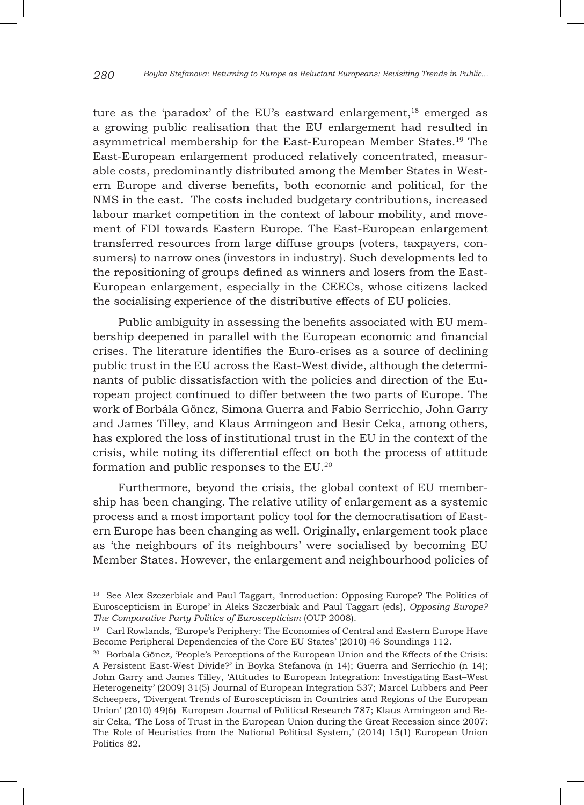ture as the 'paradox' of the EU's eastward enlargement, $18$  emerged as a growing public realisation that the EU enlargement had resulted in asymmetrical membership for the East-European Member States.19 The East-European enlargement produced relatively concentrated, measurable costs, predominantly distributed among the Member States in Western Europe and diverse benefits, both economic and political, for the NMS in the east. The costs included budgetary contributions, increased labour market competition in the context of labour mobility, and movement of FDI towards Eastern Europe. The East-European enlargement transferred resources from large diffuse groups (voters, taxpayers, consumers) to narrow ones (investors in industry). Such developments led to the repositioning of groups defined as winners and losers from the East-European enlargement, especially in the CEECs, whose citizens lacked the socialising experience of the distributive effects of EU policies.

Public ambiguity in assessing the benefits associated with EU membership deepened in parallel with the European economic and financial crises. The literature identifies the Euro-crises as a source of declining public trust in the EU across the East-West divide, although the determinants of public dissatisfaction with the policies and direction of the European project continued to differ between the two parts of Europe. The work of Borbála Göncz, Simona Guerra and Fabio Serricchio, John Garry and James Tilley, and Klaus Armingeon and Besir Ceka, among others, has explored the loss of institutional trust in the EU in the context of the crisis, while noting its differential effect on both the process of attitude formation and public responses to the EU.20

Furthermore, beyond the crisis, the global context of EU membership has been changing. The relative utility of enlargement as a systemic process and a most important policy tool for the democratisation of Eastern Europe has been changing as well. Originally, enlargement took place as 'the neighbours of its neighbours' were socialised by becoming EU Member States. However, the enlargement and neighbourhood policies of

<sup>&</sup>lt;sup>18</sup> See Alex Szczerbiak and Paul Taggart, 'Introduction: Opposing Europe? The Politics of Euroscepticism in Europe' in Aleks Szczerbiak and Paul Taggart (eds), *Opposing Europe? The Comparative Party Politics of Euroscepticism* (OUP 2008).

<sup>&</sup>lt;sup>19</sup> Carl Rowlands, 'Europe's Periphery: The Economies of Central and Eastern Europe Have Become Peripheral Dependencies of the Core EU States' (2010) 46 Soundings 112.

<sup>&</sup>lt;sup>20</sup> Borbála Göncz, 'People's Perceptions of the European Union and the Effects of the Crisis: A Persistent East-West Divide?' in Boyka Stefanova (n 14); Guerra and Serricchio (n 14); John Garry and James Tilley, 'Attitudes to European Integration: Investigating East–West Heterogeneity' (2009) 31(5) Journal of European Integration 537; Marcel Lubbers and Peer Scheepers, 'Divergent Trends of Euroscepticism in Countries and Regions of the European Union' (2010) 49(6) European Journal of Political Research 787; Klaus Armingeon and Besir Ceka, 'The Loss of Trust in the European Union during the Great Recession since 2007: The Role of Heuristics from the National Political System,' (2014) 15(1) European Union Politics 82.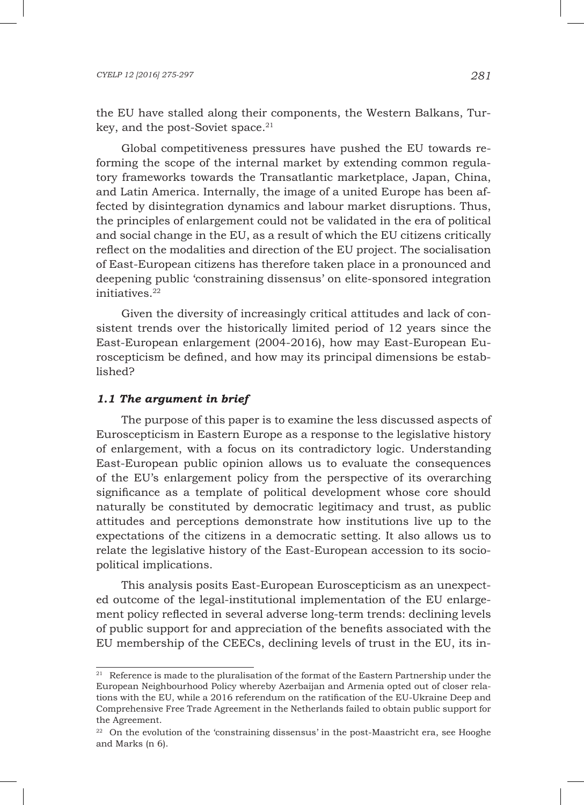the EU have stalled along their components, the Western Balkans, Turkey, and the post-Soviet space.<sup>21</sup>

Global competitiveness pressures have pushed the EU towards reforming the scope of the internal market by extending common regulatory frameworks towards the Transatlantic marketplace, Japan, China, and Latin America. Internally, the image of a united Europe has been affected by disintegration dynamics and labour market disruptions. Thus, the principles of enlargement could not be validated in the era of political and social change in the EU, as a result of which the EU citizens critically reflect on the modalities and direction of the EU project. The socialisation of East-European citizens has therefore taken place in a pronounced and deepening public 'constraining dissensus' on elite-sponsored integration initiatives.<sup>22</sup>

Given the diversity of increasingly critical attitudes and lack of consistent trends over the historically limited period of 12 years since the East-European enlargement (2004-2016), how may East-European Euroscepticism be defined, and how may its principal dimensions be established?

#### *1.1 The argument in brief*

The purpose of this paper is to examine the less discussed aspects of Euroscepticism in Eastern Europe as a response to the legislative history of enlargement, with a focus on its contradictory logic. Understanding East-European public opinion allows us to evaluate the consequences of the EU's enlargement policy from the perspective of its overarching significance as a template of political development whose core should naturally be constituted by democratic legitimacy and trust, as public attitudes and perceptions demonstrate how institutions live up to the expectations of the citizens in a democratic setting. It also allows us to relate the legislative history of the East-European accession to its sociopolitical implications.

This analysis posits East-European Euroscepticism as an unexpected outcome of the legal-institutional implementation of the EU enlargement policy reflected in several adverse long-term trends: declining levels of public support for and appreciation of the benefits associated with the EU membership of the CEECs, declining levels of trust in the EU, its in-

<sup>&</sup>lt;sup>21</sup> Reference is made to the pluralisation of the format of the Eastern Partnership under the European Neighbourhood Policy whereby Azerbaijan and Armenia opted out of closer relations with the EU, while a 2016 referendum on the ratification of the EU-Ukraine Deep and Comprehensive Free Trade Agreement in the Netherlands failed to obtain public support for the Agreement.

 $22$  On the evolution of the 'constraining dissensus' in the post-Maastricht era, see Hooghe and Marks (n 6).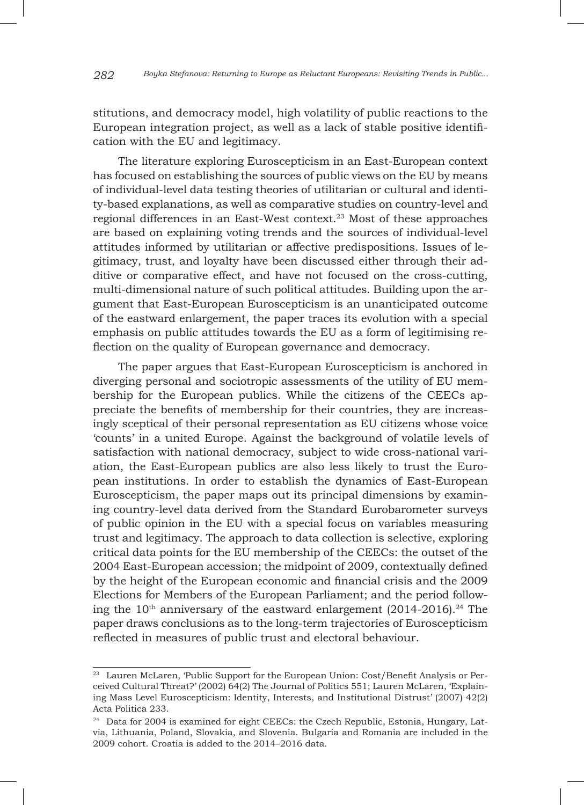stitutions, and democracy model, high volatility of public reactions to the European integration project, as well as a lack of stable positive identification with the EU and legitimacy.

The literature exploring Euroscepticism in an East-European context has focused on establishing the sources of public views on the EU by means of individual-level data testing theories of utilitarian or cultural and identity-based explanations, as well as comparative studies on country-level and regional differences in an East-West context.23 Most of these approaches are based on explaining voting trends and the sources of individual-level attitudes informed by utilitarian or affective predispositions. Issues of legitimacy, trust, and loyalty have been discussed either through their additive or comparative effect, and have not focused on the cross-cutting, multi-dimensional nature of such political attitudes. Building upon the argument that East-European Euroscepticism is an unanticipated outcome of the eastward enlargement, the paper traces its evolution with a special emphasis on public attitudes towards the EU as a form of legitimising reflection on the quality of European governance and democracy.

The paper argues that East-European Euroscepticism is anchored in diverging personal and sociotropic assessments of the utility of EU membership for the European publics. While the citizens of the CEECs appreciate the benefits of membership for their countries, they are increasingly sceptical of their personal representation as EU citizens whose voice 'counts' in a united Europe. Against the background of volatile levels of satisfaction with national democracy, subject to wide cross-national variation, the East-European publics are also less likely to trust the European institutions. In order to establish the dynamics of East-European Euroscepticism, the paper maps out its principal dimensions by examining country-level data derived from the Standard Eurobarometer surveys of public opinion in the EU with a special focus on variables measuring trust and legitimacy. The approach to data collection is selective, exploring critical data points for the EU membership of the CEECs: the outset of the 2004 East-European accession; the midpoint of 2009, contextually defined by the height of the European economic and financial crisis and the 2009 Elections for Members of the European Parliament; and the period following the  $10<sup>th</sup>$  anniversary of the eastward enlargement (2014-2016).<sup>24</sup> The paper draws conclusions as to the long-term trajectories of Euroscepticism reflected in measures of public trust and electoral behaviour.

<sup>&</sup>lt;sup>23</sup> Lauren McLaren, 'Public Support for the European Union: Cost/Benefit Analysis or Perceived Cultural Threat?' (2002) 64(2) The Journal of Politics 551; Lauren McLaren, 'Explaining Mass Level Euroscepticism: Identity, Interests, and Institutional Distrust' (2007) 42(2) Acta Politica 233.

<sup>&</sup>lt;sup>24</sup> Data for 2004 is examined for eight CEECs: the Czech Republic, Estonia, Hungary, Latvia, Lithuania, Poland, Slovakia, and Slovenia. Bulgaria and Romania are included in the 2009 cohort. Croatia is added to the 2014–2016 data.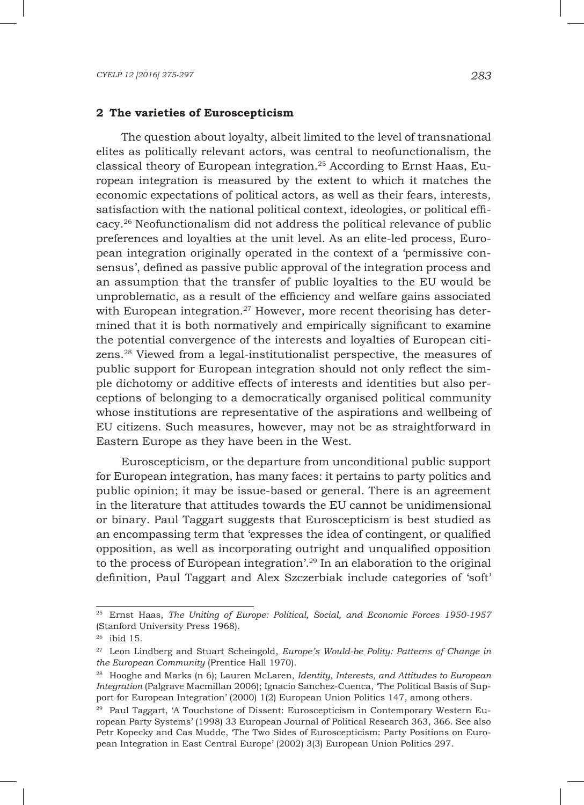#### **2 The varieties of Euroscepticism**

The question about loyalty, albeit limited to the level of transnational elites as politically relevant actors, was central to neofunctionalism, the classical theory of European integration.25 According to Ernst Haas, European integration is measured by the extent to which it matches the economic expectations of political actors, as well as their fears, interests, satisfaction with the national political context, ideologies, or political efficacy.26 Neofunctionalism did not address the political relevance of public preferences and loyalties at the unit level. As an elite-led process, European integration originally operated in the context of a 'permissive consensus', defined as passive public approval of the integration process and an assumption that the transfer of public loyalties to the EU would be unproblematic, as a result of the efficiency and welfare gains associated with European integration.<sup>27</sup> However, more recent theorising has determined that it is both normatively and empirically significant to examine the potential convergence of the interests and loyalties of European citizens.28 Viewed from a legal-institutionalist perspective, the measures of public support for European integration should not only reflect the simple dichotomy or additive effects of interests and identities but also perceptions of belonging to a democratically organised political community whose institutions are representative of the aspirations and wellbeing of EU citizens. Such measures, however, may not be as straightforward in Eastern Europe as they have been in the West.

Euroscepticism, or the departure from unconditional public support for European integration, has many faces: it pertains to party politics and public opinion; it may be issue-based or general. There is an agreement in the literature that attitudes towards the EU cannot be unidimensional or binary. Paul Taggart suggests that Euroscepticism is best studied as an encompassing term that 'expresses the idea of contingent, or qualified opposition, as well as incorporating outright and unqualified opposition to the process of European integration'.29 In an elaboration to the original definition, Paul Taggart and Alex Szczerbiak include categories of 'soft'

<sup>25</sup> Ernst Haas, *The Uniting of Europe: Political, Social, and Economic Forces 1950-1957* (Stanford University Press 1968).

<sup>26</sup> ibid 15.

<sup>27</sup> Leon Lindberg and Stuart Scheingold, *Europe's Would-be Polity: Patterns of Change in the European Community* (Prentice Hall 1970).

<sup>28</sup> Hooghe and Marks (n 6); Lauren McLaren, *Identity, Interests, and Attitudes to European Integration* (Palgrave Macmillan 2006); Ignacio Sanchez-Cuenca, 'The Political Basis of Support for European Integration' (2000) 1(2) European Union Politics 147, among others.

<sup>29</sup> Paul Taggart, 'A Touchstone of Dissent: Euroscepticism in Contemporary Western European Party Systems' (1998) 33 European Journal of Political Research 363, 366. See also Petr Kopecky and Cas Mudde, 'The Two Sides of Euroscepticism: Party Positions on European Integration in East Central Europe' (2002) 3(3) European Union Politics 297.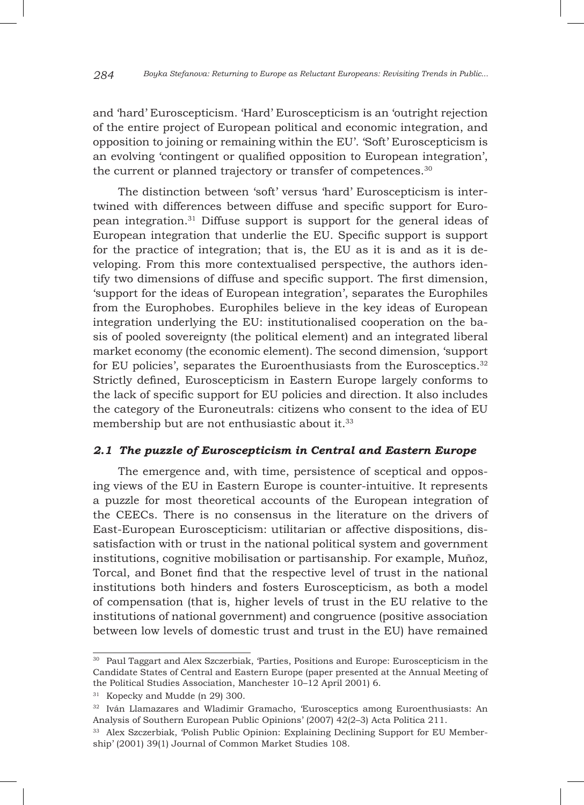and 'hard' Euroscepticism. 'Hard' Euroscepticism is an 'outright rejection of the entire project of European political and economic integration, and opposition to joining or remaining within the EU'. 'Soft' Euroscepticism is an evolving 'contingent or qualified opposition to European integration', the current or planned trajectory or transfer of competences.<sup>30</sup>

The distinction between 'soft' versus 'hard' Euroscepticism is intertwined with differences between diffuse and specific support for European integration.31 Diffuse support is support for the general ideas of European integration that underlie the EU. Specific support is support for the practice of integration; that is, the EU as it is and as it is developing. From this more contextualised perspective, the authors identify two dimensions of diffuse and specific support. The first dimension, 'support for the ideas of European integration', separates the Europhiles from the Europhobes. Europhiles believe in the key ideas of European integration underlying the EU: institutionalised cooperation on the basis of pooled sovereignty (the political element) and an integrated liberal market economy (the economic element). The second dimension, 'support for EU policies', separates the Euroenthusiasts from the Eurosceptics.<sup>32</sup> Strictly defined, Euroscepticism in Eastern Europe largely conforms to the lack of specific support for EU policies and direction. It also includes the category of the Euroneutrals: citizens who consent to the idea of EU membership but are not enthusiastic about it.<sup>33</sup>

### *2.1 The puzzle of Euroscepticism in Central and Eastern Europe*

The emergence and, with time, persistence of sceptical and opposing views of the EU in Eastern Europe is counter-intuitive. It represents a puzzle for most theoretical accounts of the European integration of the CEECs. There is no consensus in the literature on the drivers of East-European Euroscepticism: utilitarian or affective dispositions, dissatisfaction with or trust in the national political system and government institutions, cognitive mobilisation or partisanship. For example, Muñoz, Torcal, and Bonet find that the respective level of trust in the national institutions both hinders and fosters Euroscepticism, as both a model of compensation (that is, higher levels of trust in the EU relative to the institutions of national government) and congruence (positive association between low levels of domestic trust and trust in the EU) have remained

<sup>30</sup> Paul Taggart and Alex Szczerbiak, 'Parties, Positions and Europe: Euroscepticism in the Candidate States of Central and Eastern Europe (paper presented at the Annual Meeting of the Political Studies Association, Manchester 10–12 April 2001) 6.

<sup>31</sup> Kopecky and Mudde (n 29) 300.

<sup>32</sup> Iván Llamazares and Wladimir Gramacho, 'Eurosceptics among Euroenthusiasts: An Analysis of Southern European Public Opinions' (2007) 42(2–3) Acta Politica 211.

<sup>33</sup> Alex Szczerbiak, 'Polish Public Opinion: Explaining Declining Support for EU Membership' (2001) 39(1) Journal of Common Market Studies 108.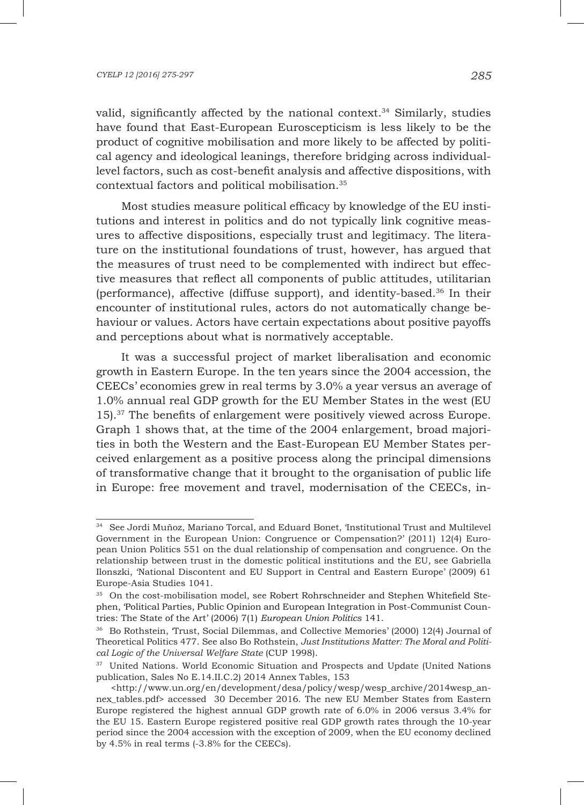valid, significantly affected by the national context.<sup>34</sup> Similarly, studies have found that East-European Euroscepticism is less likely to be the product of cognitive mobilisation and more likely to be affected by political agency and ideological leanings, therefore bridging across individuallevel factors, such as cost-benefit analysis and affective dispositions, with contextual factors and political mobilisation.35

Most studies measure political efficacy by knowledge of the EU institutions and interest in politics and do not typically link cognitive measures to affective dispositions, especially trust and legitimacy. The literature on the institutional foundations of trust, however, has argued that the measures of trust need to be complemented with indirect but effective measures that reflect all components of public attitudes, utilitarian (performance), affective (diffuse support), and identity-based.36 In their encounter of institutional rules, actors do not automatically change behaviour or values. Actors have certain expectations about positive payoffs and perceptions about what is normatively acceptable.

It was a successful project of market liberalisation and economic growth in Eastern Europe. In the ten years since the 2004 accession, the CEECs' economies grew in real terms by 3.0% a year versus an average of 1.0% annual real GDP growth for the EU Member States in the west (EU 15).37 The benefits of enlargement were positively viewed across Europe. Graph 1 shows that, at the time of the 2004 enlargement, broad majorities in both the Western and the East-European EU Member States perceived enlargement as a positive process along the principal dimensions of transformative change that it brought to the organisation of public life in Europe: free movement and travel, modernisation of the CEECs, in-

<sup>34</sup> See Jordi Muñoz, Mariano Torcal, and Eduard Bonet, 'Institutional Trust and Multilevel Government in the European Union: Congruence or Compensation?' (2011) 12(4) European Union Politics 551 on the dual relationship of compensation and congruence. On the relationship between trust in the domestic political institutions and the EU, see Gabriella Ilonszki, 'National Discontent and EU Support in Central and Eastern Europe' (2009) 61 Europe-Asia Studies 1041.

<sup>35</sup> On the cost-mobilisation model, see Robert Rohrschneider and Stephen Whitefield Stephen, 'Political Parties, Public Opinion and European Integration in Post-Communist Countries: The State of the Art' (2006) 7(1) *European Union Politics* 141.

<sup>36</sup> Bo Rothstein, 'Trust, Social Dilemmas, and Collective Memories' (2000) 12(4) Journal of Theoretical Politics 477. See also Bo Rothstein, *Just Institutions Matter: The Moral and Political Logic of the Universal Welfare State* (CUP 1998).

<sup>&</sup>lt;sup>37</sup> United Nations. World Economic Situation and Prospects and Update (United Nations publication, Sales No E.14.II.C.2) 2014 Annex Tables, 153

 <sup>&</sup>lt;http://www.un.org/en/development/desa/policy/wesp/wesp\_archive/2014wesp\_annex\_tables.pdf> accessed 30 December 2016. The new EU Member States from Eastern Europe registered the highest annual GDP growth rate of 6.0% in 2006 versus 3.4% for the EU 15. Eastern Europe registered positive real GDP growth rates through the 10-year period since the 2004 accession with the exception of 2009, when the EU economy declined by 4.5% in real terms (-3.8% for the CEECs).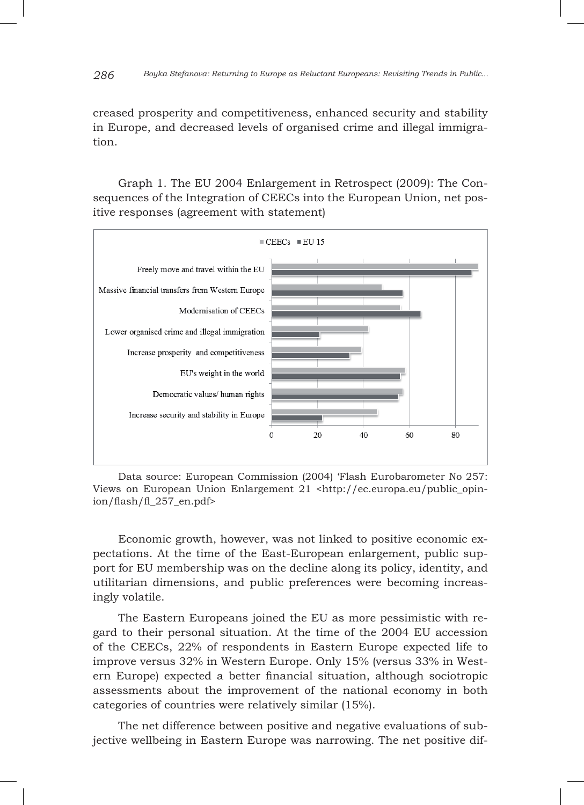#### *286 Boyka Stefanova: Returning to Europe as Reluctant Europeans: Revisiting Trends in Public...*

creased prosperity and competitiveness, enhanced security and stability in Europe, and decreased levels of organised crime and illegal immigration.

Graph 1. The EU 2004 Enlargement in Retrospect (2009): The Consequences of the Integration of CEECs into the European Union, net positive responses (agreement with statement)



Data source: European Commission (2004) 'Flash Eurobarometer No 257: Views on European Union Enlargement 21 <http://ec.europa.eu/public\_opinion/flash/fl\_257\_en.pdf>

Economic growth, however, was not linked to positive economic expectations. At the time of the East-European enlargement, public support for EU membership was on the decline along its policy, identity, and utilitarian dimensions, and public preferences were becoming increasingly volatile.

The Eastern Europeans joined the EU as more pessimistic with regard to their personal situation. At the time of the 2004 EU accession of the CEECs, 22% of respondents in Eastern Europe expected life to improve versus 32% in Western Europe. Only 15% (versus 33% in Western Europe) expected a better financial situation, although sociotropic assessments about the improvement of the national economy in both categories of countries were relatively similar (15%).

The net difference between positive and negative evaluations of subjective wellbeing in Eastern Europe was narrowing. The net positive dif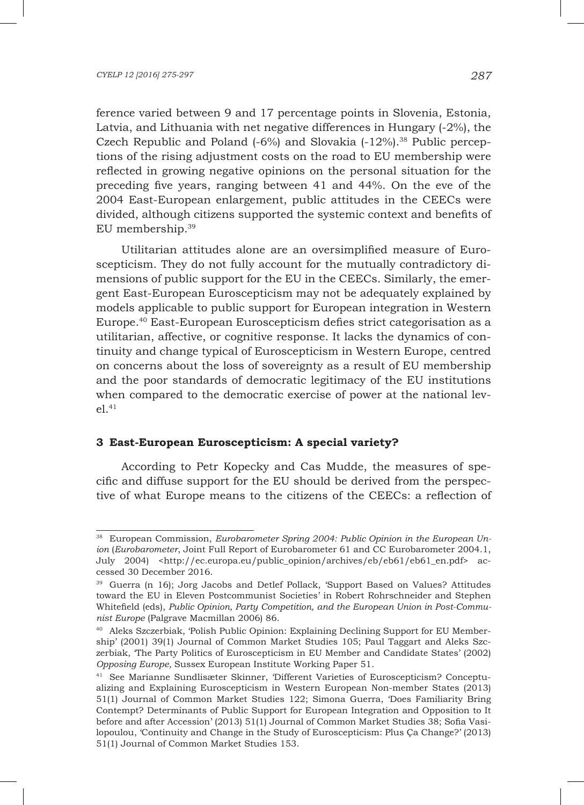ference varied between 9 and 17 percentage points in Slovenia, Estonia, Latvia, and Lithuania with net negative differences in Hungary (-2%), the Czech Republic and Poland  $(-6%)$  and Slovakia  $(-12%)$ .<sup>38</sup> Public perceptions of the rising adjustment costs on the road to EU membership were reflected in growing negative opinions on the personal situation for the preceding five years, ranging between 41 and 44%. On the eve of the 2004 East-European enlargement, public attitudes in the CEECs were divided, although citizens supported the systemic context and benefits of EU membership.39

Utilitarian attitudes alone are an oversimplified measure of Euroscepticism. They do not fully account for the mutually contradictory dimensions of public support for the EU in the CEECs. Similarly, the emergent East-European Euroscepticism may not be adequately explained by models applicable to public support for European integration in Western Europe.40 East-European Euroscepticism defies strict categorisation as a utilitarian, affective, or cognitive response. It lacks the dynamics of continuity and change typical of Euroscepticism in Western Europe, centred on concerns about the loss of sovereignty as a result of EU membership and the poor standards of democratic legitimacy of the EU institutions when compared to the democratic exercise of power at the national lev $e1^{41}$ 

### **3 East-European Euroscepticism: A special variety?**

According to Petr Kopecky and Cas Mudde, the measures of specific and diffuse support for the EU should be derived from the perspective of what Europe means to the citizens of the CEECs: a reflection of

<sup>38</sup> European Commission, *Eurobarometer Spring 2004: Public Opinion in the European Union* (*Eurobarometer*, Joint Full Report of Eurobarometer 61 and CC Eurobarometer 2004.1, July 2004) <http://ec.europa.eu/public\_opinion/archives/eb/eb61/eb61\_en.pdf> accessed 30 December 2016.

<sup>39</sup> Guerra (n 16); Jorg Jacobs and Detlef Pollack, 'Support Based on Values? Attitudes toward the EU in Eleven Postcommunist Societies' in Robert Rohrschneider and Stephen Whitefield (eds), *Public Opinion, Party Competition, and the European Union in Post-Communist Europe* (Palgrave Macmillan 2006) 86.

<sup>40</sup> Aleks Szczerbiak, 'Polish Public Opinion: Explaining Declining Support for EU Membership' (2001) 39(1) Journal of Common Market Studies 105; Paul Taggart and Aleks Szczerbiak, 'The Party Politics of Euroscepticism in EU Member and Candidate States' (2002) *Opposing Europe,* Sussex European Institute Working Paper 51.

<sup>41</sup> See Marianne Sundlisæter Skinner, 'Different Varieties of Euroscepticism? Conceptualizing and Explaining Euroscepticism in Western European Non-member States (2013) 51(1) Journal of Common Market Studies 122; Simona Guerra, 'Does Familiarity Bring Contempt? Determinants of Public Support for European Integration and Opposition to It before and after Accession' (2013) 51(1) Journal of Common Market Studies 38; Sofia Vasilopoulou, 'Continuity and Change in the Study of Euroscepticism: Plus Ça Change?' (2013) 51(1) Journal of Common Market Studies 153.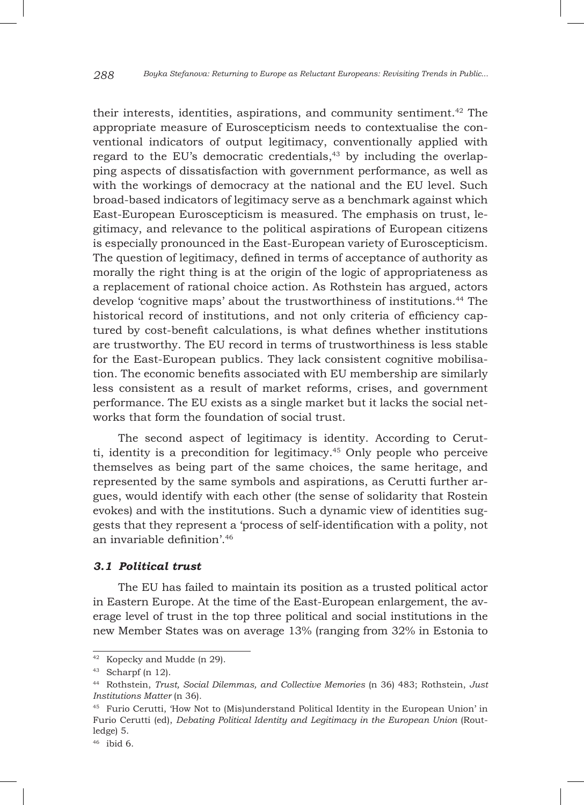their interests, identities, aspirations, and community sentiment.<sup>42</sup> The appropriate measure of Euroscepticism needs to contextualise the conventional indicators of output legitimacy, conventionally applied with regard to the EU's democratic credentials, $43$  by including the overlapping aspects of dissatisfaction with government performance, as well as with the workings of democracy at the national and the EU level. Such broad-based indicators of legitimacy serve as a benchmark against which East-European Euroscepticism is measured. The emphasis on trust, legitimacy, and relevance to the political aspirations of European citizens is especially pronounced in the East-European variety of Euroscepticism. The question of legitimacy, defined in terms of acceptance of authority as morally the right thing is at the origin of the logic of appropriateness as a replacement of rational choice action. As Rothstein has argued, actors develop 'cognitive maps' about the trustworthiness of institutions.44 The historical record of institutions, and not only criteria of efficiency captured by cost-benefit calculations, is what defines whether institutions are trustworthy. The EU record in terms of trustworthiness is less stable for the East-European publics. They lack consistent cognitive mobilisation. The economic benefits associated with EU membership are similarly less consistent as a result of market reforms, crises, and government performance. The EU exists as a single market but it lacks the social networks that form the foundation of social trust.

The second aspect of legitimacy is identity. According to Cerutti, identity is a precondition for legitimacy.<sup>45</sup> Only people who perceive themselves as being part of the same choices, the same heritage, and represented by the same symbols and aspirations, as Cerutti further argues, would identify with each other (the sense of solidarity that Rostein evokes) and with the institutions. Such a dynamic view of identities suggests that they represent a 'process of self-identification with a polity, not an invariable definition'.46

#### *3.1 Political trust*

The EU has failed to maintain its position as a trusted political actor in Eastern Europe. At the time of the East-European enlargement, the average level of trust in the top three political and social institutions in the new Member States was on average 13% (ranging from 32% in Estonia to

<sup>42</sup> Kopecky and Mudde (n 29).

<sup>43</sup> Scharpf (n 12).

<sup>44</sup> Rothstein, *Trust, Social Dilemmas, and Collective Memories* (n 36) 483; Rothstein, *Just Institutions Matter* (n 36)*.*

<sup>45</sup> Furio Cerutti, 'How Not to (Mis)understand Political Identity in the European Union' in Furio Cerutti (ed), *Debating Political Identity and Legitimacy in the European Union* (Routledge) 5.

<sup>46</sup> ibid 6.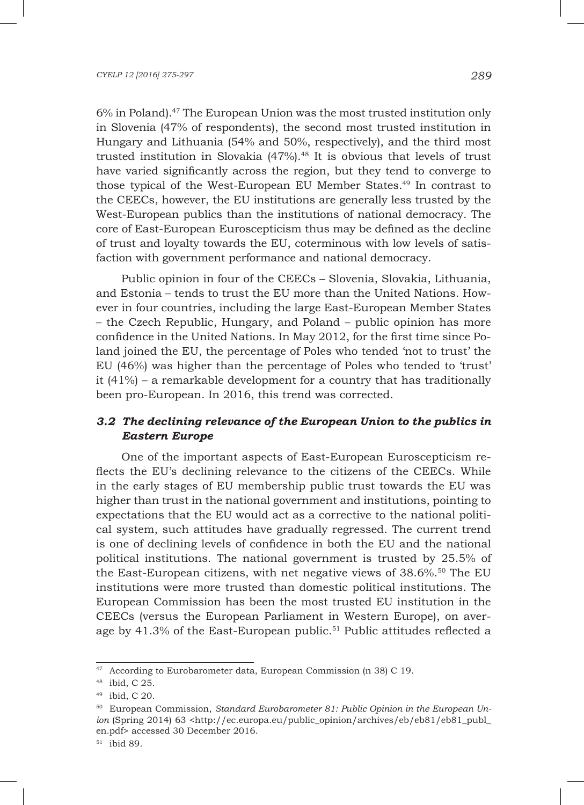6% in Poland).47 The European Union was the most trusted institution only in Slovenia (47% of respondents), the second most trusted institution in Hungary and Lithuania (54% and 50%, respectively), and the third most trusted institution in Slovakia  $(47%)$ .<sup>48</sup> It is obvious that levels of trust have varied significantly across the region, but they tend to converge to those typical of the West-European EU Member States.49 In contrast to the CEECs, however, the EU institutions are generally less trusted by the West-European publics than the institutions of national democracy. The core of East-European Euroscepticism thus may be defined as the decline of trust and loyalty towards the EU, coterminous with low levels of satisfaction with government performance and national democracy.

Public opinion in four of the CEECs – Slovenia, Slovakia, Lithuania, and Estonia – tends to trust the EU more than the United Nations. However in four countries, including the large East-European Member States – the Czech Republic, Hungary, and Poland – public opinion has more confidence in the United Nations. In May 2012, for the first time since Poland joined the EU, the percentage of Poles who tended 'not to trust' the EU (46%) was higher than the percentage of Poles who tended to 'trust' it (41%) – a remarkable development for a country that has traditionally been pro-European. In 2016, this trend was corrected.

## *3.2 The declining relevance of the European Union to the publics in Eastern Europe*

One of the important aspects of East-European Euroscepticism reflects the EU's declining relevance to the citizens of the CEECs. While in the early stages of EU membership public trust towards the EU was higher than trust in the national government and institutions, pointing to expectations that the EU would act as a corrective to the national political system, such attitudes have gradually regressed. The current trend is one of declining levels of confidence in both the EU and the national political institutions. The national government is trusted by 25.5% of the East-European citizens, with net negative views of  $38.6\%$ .<sup>50</sup> The EU institutions were more trusted than domestic political institutions. The European Commission has been the most trusted EU institution in the CEECs (versus the European Parliament in Western Europe), on average by 41.3% of the East-European public.<sup>51</sup> Public attitudes reflected a

 $47$  According to Eurobarometer data, European Commission (n 38) C 19.

<sup>48</sup> ibid, C 25.

<sup>49</sup> ibid, C 20.

<sup>50</sup> European Commission, *Standard Eurobarometer 81: Public Opinion in the European Union* (Spring 2014) 63 <http://ec.europa.eu/public\_opinion/archives/eb/eb81/eb81\_publ\_ en.pdf> accessed 30 December 2016.

<sup>51</sup> ibid 89.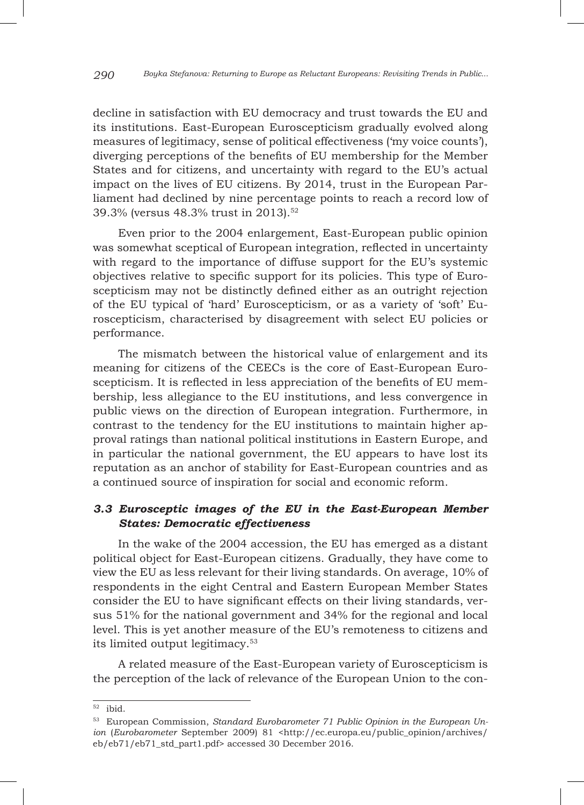decline in satisfaction with EU democracy and trust towards the EU and its institutions. East-European Euroscepticism gradually evolved along measures of legitimacy, sense of political effectiveness ('my voice counts'), diverging perceptions of the benefits of EU membership for the Member States and for citizens, and uncertainty with regard to the EU's actual impact on the lives of EU citizens. By 2014, trust in the European Parliament had declined by nine percentage points to reach a record low of 39.3% (versus 48.3% trust in 2013).52

Even prior to the 2004 enlargement, East-European public opinion was somewhat sceptical of European integration, reflected in uncertainty with regard to the importance of diffuse support for the EU's systemic objectives relative to specific support for its policies. This type of Euroscepticism may not be distinctly defined either as an outright rejection of the EU typical of 'hard' Euroscepticism, or as a variety of 'soft' Euroscepticism, characterised by disagreement with select EU policies or performance.

The mismatch between the historical value of enlargement and its meaning for citizens of the CEECs is the core of East-European Euroscepticism. It is reflected in less appreciation of the benefits of EU membership, less allegiance to the EU institutions, and less convergence in public views on the direction of European integration. Furthermore, in contrast to the tendency for the EU institutions to maintain higher approval ratings than national political institutions in Eastern Europe, and in particular the national government, the EU appears to have lost its reputation as an anchor of stability for East-European countries and as a continued source of inspiration for social and economic reform.

## *3.3 Eurosceptic images of the EU in the East-European Member States: Democratic effectiveness*

In the wake of the 2004 accession, the EU has emerged as a distant political object for East-European citizens. Gradually, they have come to view the EU as less relevant for their living standards. On average, 10% of respondents in the eight Central and Eastern European Member States consider the EU to have significant effects on their living standards, versus 51% for the national government and 34% for the regional and local level. This is yet another measure of the EU's remoteness to citizens and its limited output legitimacy.53

A related measure of the East-European variety of Euroscepticism is the perception of the lack of relevance of the European Union to the con-

<sup>52</sup> ibid.

<sup>53</sup> European Commission, *Standard Eurobarometer 71 Public Opinion in the European Union* (*Eurobarometer* September 2009) 81 <http://ec.europa.eu/public\_opinion/archives/ eb/eb71/eb71\_std\_part1.pdf> accessed 30 December 2016.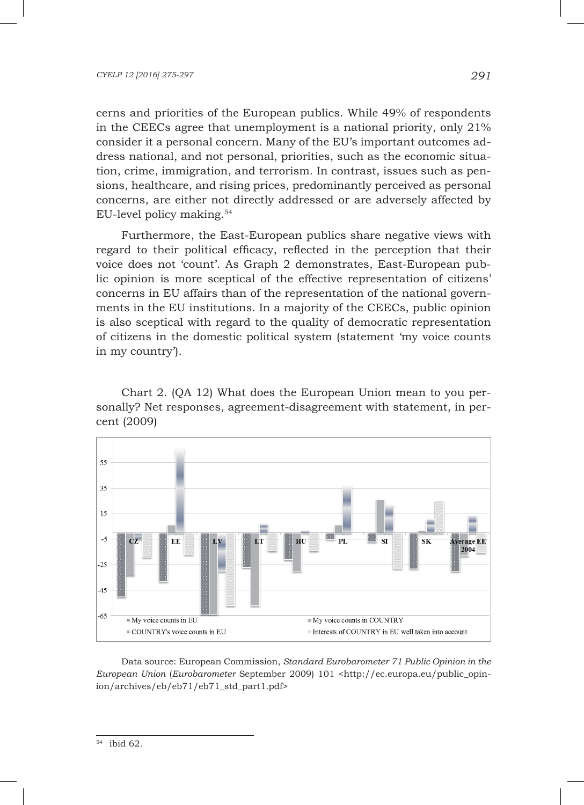cerns and priorities of the European publics. While 49% of respondents in the CEECs agree that unemployment is a national priority, only 21% consider it a personal concern. Many of the EU's important outcomes address national, and not personal, priorities, such as the economic situation, crime, immigration, and terrorism. In contrast, issues such as pensions, healthcare, and rising prices, predominantly perceived as personal concerns, are either not directly addressed or are adversely affected by EU-level policy making.54

Furthermore, the East-European publics share negative views with regard to their political efficacy, reflected in the perception that their voice does not 'count'. As Graph 2 demonstrates, East-European public opinion is more sceptical of the effective representation of citizens' concerns in EU affairs than of the representation of the national governments in the EU institutions. In a majority of the CEECs, public opinion is also sceptical with regard to the quality of democratic representation of citizens in the domestic political system (statement 'my voice counts in my country').

Chart 2. (QA 12) What does the European Union mean to you personally? Net responses, agreement-disagreement with statement, in percent (2009)



Data source: European Commission, *Standard Eurobarometer 71 Public Opinion in the European Union* (*Eurobarometer* September 2009) 101 <http://ec.europa.eu/public\_opinion/archives/eb/eb71/eb71\_std\_part1.pdf>

<sup>54</sup> ibid 62.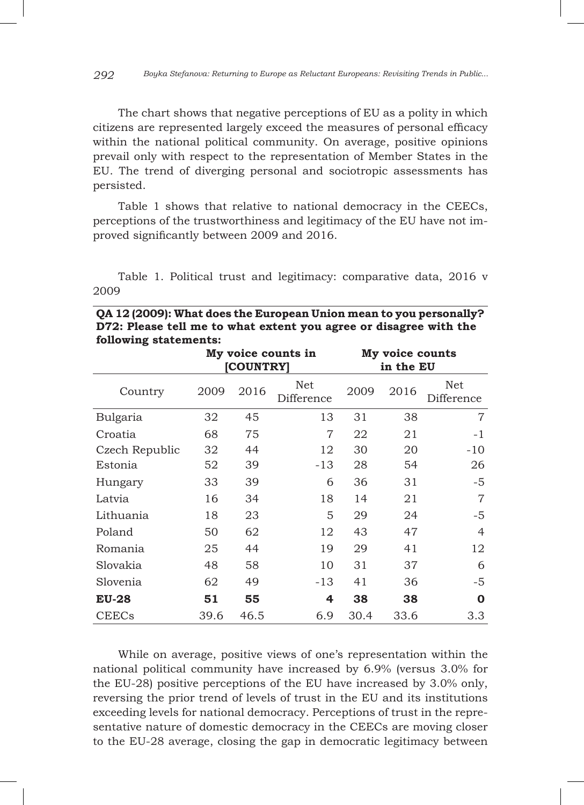The chart shows that negative perceptions of EU as a polity in which citizens are represented largely exceed the measures of personal efficacy within the national political community. On average, positive opinions prevail only with respect to the representation of Member States in the EU. The trend of diverging personal and sociotropic assessments has persisted.

Table 1 shows that relative to national democracy in the CEECs, perceptions of the trustworthiness and legitimacy of the EU have not improved significantly between 2009 and 2016.

Table 1. Political trust and legitimacy: comparative data, 2016 v 2009

| following statements: |      |           |                    |                              |      |                   |  |  |  |  |  |  |
|-----------------------|------|-----------|--------------------|------------------------------|------|-------------------|--|--|--|--|--|--|
|                       |      | [COUNTRY] | My voice counts in | My voice counts<br>in the EU |      |                   |  |  |  |  |  |  |
| Country               | 2009 | 2016      | Net<br>Difference  | 2009                         | 2016 | Net<br>Difference |  |  |  |  |  |  |
| Bulgaria              | 32   | 45        | 13                 | 31                           | 38   | 7                 |  |  |  |  |  |  |
| Croatia               | 68   | 75        | $\overline{7}$     | 22<br>21                     |      | $-1$              |  |  |  |  |  |  |
| Czech Republic        | 32   | 44        | 12                 | 30                           | 20   | $-10$             |  |  |  |  |  |  |
| Estonia               | 52   | 39        | $-13$              | 28                           | 54   | 26                |  |  |  |  |  |  |
| Hungary               | 33   | 39        | 6                  | 36                           | 31   | -5                |  |  |  |  |  |  |
| Latvia                | 16   | 34        | 18                 | 14                           | 21   | 7                 |  |  |  |  |  |  |
| Lithuania             | 18   | 23        | 5                  | 29                           | 24   | -5                |  |  |  |  |  |  |
| Poland                | 50   | 62        | 12                 | 43                           | 47   | 4                 |  |  |  |  |  |  |
| Romania               | 25   | 44        | 19                 | 29                           | 41   | 12                |  |  |  |  |  |  |
| Slovakia              | 48   | 58        | 10                 | 31                           | 37   | 6                 |  |  |  |  |  |  |
| Slovenia              | 62   | 49        | $-13$              | 41                           | 36   | -5                |  |  |  |  |  |  |
| <b>EU-28</b>          | 51   | 55        | 4                  | 38                           | 38   | O                 |  |  |  |  |  |  |
| <b>CEECs</b>          | 39.6 | 46.5      | 6.9                | 30.4                         | 33.6 | 3.3               |  |  |  |  |  |  |

**QA 12 (2009): What does the European Union mean to you personally? D72: Please tell me to what extent you agree or disagree with the** 

While on average, positive views of one's representation within the national political community have increased by 6.9% (versus 3.0% for the EU-28) positive perceptions of the EU have increased by 3.0% only, reversing the prior trend of levels of trust in the EU and its institutions exceeding levels for national democracy. Perceptions of trust in the representative nature of domestic democracy in the CEECs are moving closer to the EU-28 average, closing the gap in democratic legitimacy between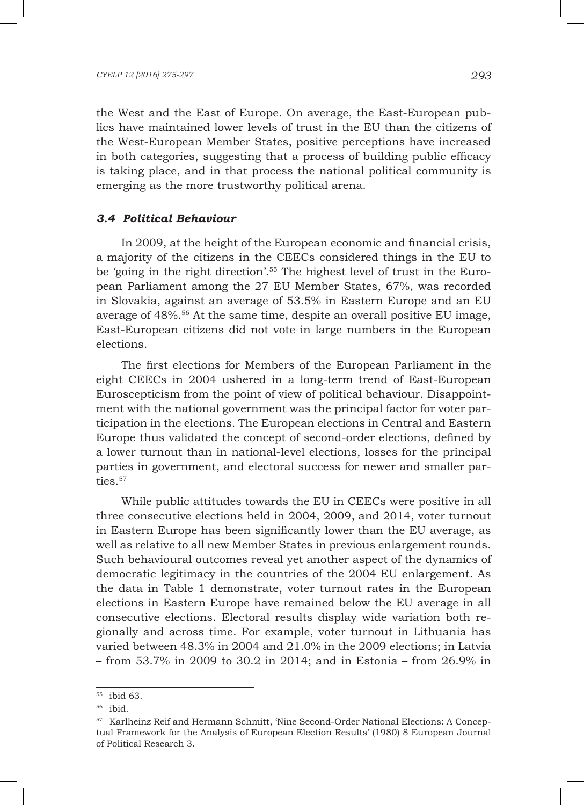the West and the East of Europe. On average, the East-European publics have maintained lower levels of trust in the EU than the citizens of the West-European Member States, positive perceptions have increased in both categories, suggesting that a process of building public efficacy is taking place, and in that process the national political community is emerging as the more trustworthy political arena.

### *3.4 Political Behaviour*

In 2009, at the height of the European economic and financial crisis, a majority of the citizens in the CEECs considered things in the EU to be 'going in the right direction'.55 The highest level of trust in the European Parliament among the 27 EU Member States, 67%, was recorded in Slovakia, against an average of 53.5% in Eastern Europe and an EU average of 48%.56 At the same time, despite an overall positive EU image, East-European citizens did not vote in large numbers in the European elections.

The first elections for Members of the European Parliament in the eight CEECs in 2004 ushered in a long-term trend of East-European Euroscepticism from the point of view of political behaviour. Disappointment with the national government was the principal factor for voter participation in the elections. The European elections in Central and Eastern Europe thus validated the concept of second-order elections, defined by a lower turnout than in national-level elections, losses for the principal parties in government, and electoral success for newer and smaller parties.<sup>57</sup>

While public attitudes towards the EU in CEECs were positive in all three consecutive elections held in 2004, 2009, and 2014, voter turnout in Eastern Europe has been significantly lower than the EU average, as well as relative to all new Member States in previous enlargement rounds. Such behavioural outcomes reveal yet another aspect of the dynamics of democratic legitimacy in the countries of the 2004 EU enlargement. As the data in Table 1 demonstrate, voter turnout rates in the European elections in Eastern Europe have remained below the EU average in all consecutive elections. Electoral results display wide variation both regionally and across time. For example, voter turnout in Lithuania has varied between 48.3% in 2004 and 21.0% in the 2009 elections; in Latvia – from 53.7% in 2009 to 30.2 in 2014; and in Estonia – from 26.9% in

<sup>55</sup> ibid 63.

<sup>56</sup> ibid.

<sup>&</sup>lt;sup>57</sup> Karlheinz Reif and Hermann Schmitt, 'Nine Second-Order National Elections: A Conceptual Framework for the Analysis of European Election Results' (1980) 8 European Journal of Political Research 3.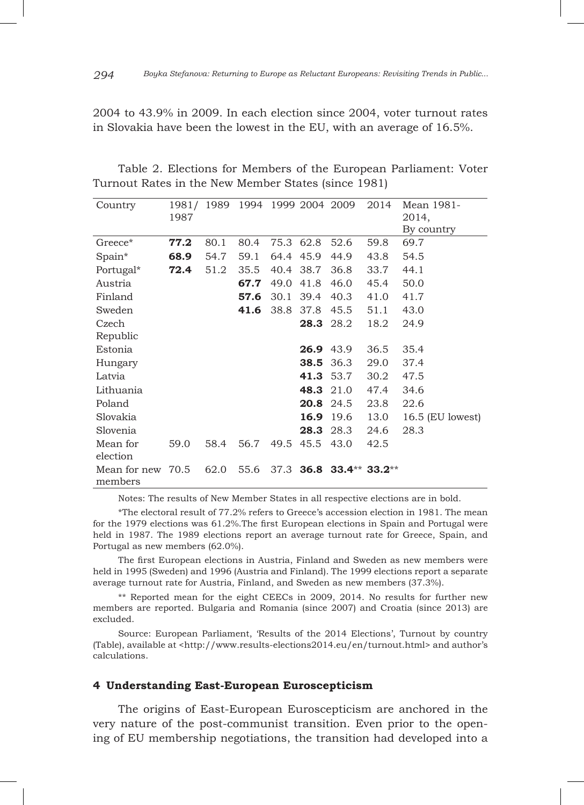2004 to 43.9% in 2009. In each election since 2004, voter turnout rates in Slovakia have been the lowest in the EU, with an average of 16.5%.

| Country                 | 1987 | 1981/1989 | 1994 |           |                  | 1999 2004 2009          | 2014 | Mean 1981-<br>2014,<br>By country |
|-------------------------|------|-----------|------|-----------|------------------|-------------------------|------|-----------------------------------|
| Greece*                 | 77.2 | 80.1      | 80.4 | 75.3 62.8 |                  | 52.6                    | 59.8 | 69.7                              |
| Spain*                  | 68.9 | 54.7      | 59.1 | 64.4      | 45.9             | 44.9                    | 43.8 | 54.5                              |
| Portugal*               | 72.4 | 51.2      | 35.5 | 40.4      | 38.7             | 36.8                    | 33.7 | 44.1                              |
| Austria                 |      |           | 67.7 | 49.0      | 41.8             | 46.0                    | 45.4 | 50.0                              |
| Finland                 |      |           | 57.6 | 30.1      | 39.4             | 40.3                    | 41.0 | 41.7                              |
| Sweden                  |      |           | 41.6 | 38.8      | 37.8             | 45.5                    | 51.1 | 43.0                              |
| Czech                   |      |           |      |           | 28.3             | 28.2                    | 18.2 | 24.9                              |
| Republic                |      |           |      |           |                  |                         |      |                                   |
| Estonia                 |      |           |      |           | <b>26.9</b> 43.9 |                         | 36.5 | 35.4                              |
| Hungary                 |      |           |      |           | 38.5             | 36.3                    | 29.0 | 37.4                              |
| Latvia                  |      |           |      |           | <b>41.3</b> 53.7 |                         | 30.2 | 47.5                              |
| Lithuania               |      |           |      |           | 48.3 21.0        |                         | 47.4 | 34.6                              |
| Poland                  |      |           |      |           | 20.8 24.5        |                         | 23.8 | 22.6                              |
| Slovakia                |      |           |      |           | 16.9             | 19.6                    | 13.0 | $16.5$ (EU lowest)                |
| Slovenia                |      |           |      |           | 28.3             | 28.3                    | 24.6 | 28.3                              |
| Mean for<br>election    | 59.0 | 58.4      | 56.7 |           | 49.5 45.5        | 43.0                    | 42.5 |                                   |
| Mean for new<br>members | 70.5 | 62.0      | 55.6 |           |                  | 37.3 36.8 33.4** 33.2** |      |                                   |

Table 2. Elections for Members of the European Parliament: Voter Turnout Rates in the New Member States (since 1981)

Notes: The results of New Member States in all respective elections are in bold.

\*The electoral result of 77.2% refers to Greece's accession election in 1981. The mean for the 1979 elections was 61.2%.The first European elections in Spain and Portugal were held in 1987. The 1989 elections report an average turnout rate for Greece, Spain, and Portugal as new members (62.0%).

The first European elections in Austria, Finland and Sweden as new members were held in 1995 (Sweden) and 1996 (Austria and Finland). The 1999 elections report a separate average turnout rate for Austria, Finland, and Sweden as new members (37.3%).

\*\* Reported mean for the eight CEECs in 2009, 2014. No results for further new members are reported. Bulgaria and Romania (since 2007) and Croatia (since 2013) are excluded.

Source: European Parliament, 'Results of the 2014 Elections', Turnout by country (Table), available at <http://www.results-elections2014.eu/en/turnout.html> and author's calculations.

#### **4 Understanding East-European Euroscepticism**

The origins of East-European Euroscepticism are anchored in the very nature of the post-communist transition. Even prior to the opening of EU membership negotiations, the transition had developed into a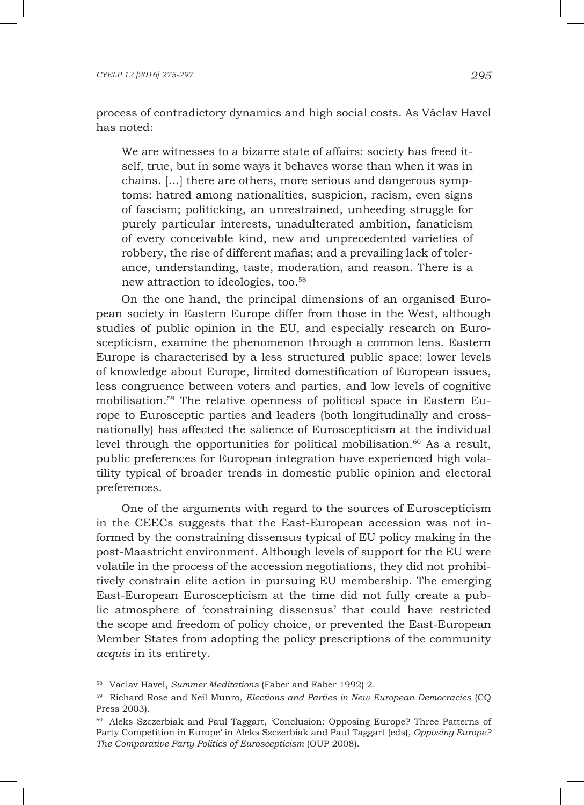process of contradictory dynamics and high social costs. As Václav Havel has noted:

We are witnesses to a bizarre state of affairs: society has freed itself, true, but in some ways it behaves worse than when it was in chains. […] there are others, more serious and dangerous symptoms: hatred among nationalities, suspicion, racism, even signs of fascism; politicking, an unrestrained, unheeding struggle for purely particular interests, unadulterated ambition, fanaticism of every conceivable kind, new and unprecedented varieties of robbery, the rise of different mafias; and a prevailing lack of tolerance, understanding, taste, moderation, and reason. There is a new attraction to ideologies, too.58

On the one hand, the principal dimensions of an organised European society in Eastern Europe differ from those in the West, although studies of public opinion in the EU, and especially research on Euroscepticism, examine the phenomenon through a common lens. Eastern Europe is characterised by a less structured public space: lower levels of knowledge about Europe, limited domestification of European issues, less congruence between voters and parties, and low levels of cognitive mobilisation.59 The relative openness of political space in Eastern Europe to Eurosceptic parties and leaders (both longitudinally and crossnationally) has affected the salience of Euroscepticism at the individual level through the opportunities for political mobilisation.<sup>60</sup> As a result, public preferences for European integration have experienced high volatility typical of broader trends in domestic public opinion and electoral preferences.

One of the arguments with regard to the sources of Euroscepticism in the CEECs suggests that the East-European accession was not informed by the constraining dissensus typical of EU policy making in the post-Maastricht environment. Although levels of support for the EU were volatile in the process of the accession negotiations, they did not prohibitively constrain elite action in pursuing EU membership. The emerging East-European Euroscepticism at the time did not fully create a public atmosphere of 'constraining dissensus' that could have restricted the scope and freedom of policy choice, or prevented the East-European Member States from adopting the policy prescriptions of the community *acquis* in its entirety.

<sup>58</sup> Václav Havel, *Summer Meditations* (Faber and Faber 1992) 2.

<sup>59</sup> Richard Rose and Neil Munro, *Elections and Parties in New European Democracies* (CQ Press 2003).

<sup>&</sup>lt;sup>60</sup> Aleks Szczerbiak and Paul Taggart, 'Conclusion: Opposing Europe? Three Patterns of Party Competition in Europe' in Aleks Szczerbiak and Paul Taggart (eds), *Opposing Europe? The Comparative Party Politics of Euroscepticism* (OUP 2008).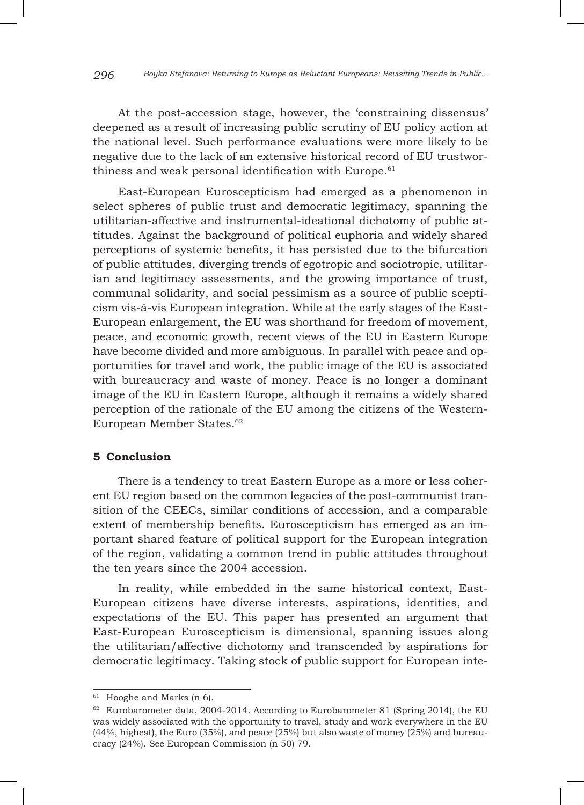At the post-accession stage, however, the 'constraining dissensus' deepened as a result of increasing public scrutiny of EU policy action at the national level. Such performance evaluations were more likely to be negative due to the lack of an extensive historical record of EU trustworthiness and weak personal identification with Europe. $61$ 

East-European Euroscepticism had emerged as a phenomenon in select spheres of public trust and democratic legitimacy, spanning the utilitarian-affective and instrumental-ideational dichotomy of public attitudes. Against the background of political euphoria and widely shared perceptions of systemic benefits, it has persisted due to the bifurcation of public attitudes, diverging trends of egotropic and sociotropic, utilitarian and legitimacy assessments, and the growing importance of trust, communal solidarity, and social pessimism as a source of public scepticism vis-à-vis European integration. While at the early stages of the East-European enlargement, the EU was shorthand for freedom of movement, peace, and economic growth, recent views of the EU in Eastern Europe have become divided and more ambiguous. In parallel with peace and opportunities for travel and work, the public image of the EU is associated with bureaucracy and waste of money. Peace is no longer a dominant image of the EU in Eastern Europe, although it remains a widely shared perception of the rationale of the EU among the citizens of the Western-European Member States.62

### **5 Conclusion**

There is a tendency to treat Eastern Europe as a more or less coherent EU region based on the common legacies of the post-communist transition of the CEECs, similar conditions of accession, and a comparable extent of membership benefits. Euroscepticism has emerged as an important shared feature of political support for the European integration of the region, validating a common trend in public attitudes throughout the ten years since the 2004 accession.

In reality, while embedded in the same historical context, East-European citizens have diverse interests, aspirations, identities, and expectations of the EU. This paper has presented an argument that East-European Euroscepticism is dimensional, spanning issues along the utilitarian/affective dichotomy and transcended by aspirations for democratic legitimacy. Taking stock of public support for European inte-

<sup>&</sup>lt;sup>61</sup> Hooghe and Marks (n 6).

 $62$  Eurobarometer data, 2004-2014. According to Eurobarometer 81 (Spring 2014), the EU was widely associated with the opportunity to travel, study and work everywhere in the EU (44%, highest), the Euro (35%), and peace (25%) but also waste of money (25%) and bureaucracy (24%). See European Commission (n 50) 79.